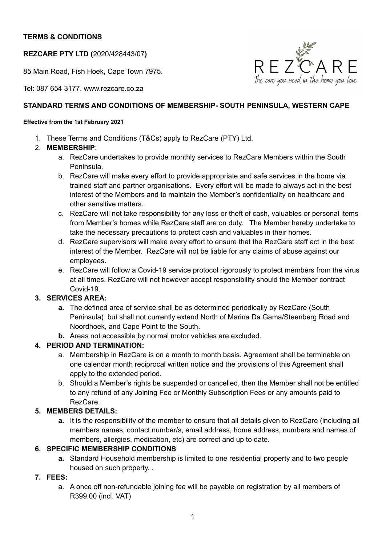# **TERMS & CONDITIONS**

**REZCARE PTY LTD (**2020/428443/07**)**

85 Main Road, Fish Hoek, Cape Town 7975.

 $R$   $E$   $Z$   $R$   $R$   $E$   $\hbar$   $\epsilon$  care you need in the home you love

Tel: 087 654 3177. www.rezcare.co.za

### **STANDARD TERMS AND CONDITIONS OF MEMBERSHIP- SOUTH PENINSULA, WESTERN CAPE**

#### **Effective from the 1st February 2021**

- 1. These Terms and Conditions (T&Cs) apply to RezCare (PTY) Ltd.
- 2. **MEMBERSHIP**:
	- a. RezCare undertakes to provide monthly services to RezCare Members within the South Peninsula.
	- b. RezCare will make every effort to provide appropriate and safe services in the home via trained staff and partner organisations. Every effort will be made to always act in the best interest of the Members and to maintain the Member's confidentiality on healthcare and other sensitive matters.
	- c. RezCare will not take responsibility for any loss or theft of cash, valuables or personal items from Member's homes while RezCare staff are on duty. The Member hereby undertake to take the necessary precautions to protect cash and valuables in their homes.
	- d. RezCare supervisors will make every effort to ensure that the RezCare staff act in the best interest of the Member. RezCare will not be liable for any claims of abuse against our employees.
	- e. RezCare will follow a Covid-19 service protocol rigorously to protect members from the virus at all times. RezCare will not however accept responsibility should the Member contract Covid-19.

# **3. SERVICES AREA:**

- **a.** The defined area of service shall be as determined periodically by RezCare (South Peninsula) but shall not currently extend North of Marina Da Gama/Steenberg Road and Noordhoek, and Cape Point to the South.
- **b.** Areas not accessible by normal motor vehicles are excluded.

# **4. PERIOD AND TERMINATION:**

- a. Membership in RezCare is on a month to month basis. Agreement shall be terminable on one calendar month reciprocal written notice and the provisions of this Agreement shall apply to the extended period.
- b. Should a Member's rights be suspended or cancelled, then the Member shall not be entitled to any refund of any Joining Fee or Monthly Subscription Fees or any amounts paid to RezCare.

# **5. MEMBERS DETAILS:**

**a.** It is the responsibility of the member to ensure that all details given to RezCare (including all members names, contact number/s, email address, home address, numbers and names of members, allergies, medication, etc) are correct and up to date.

# **6. SPECIFIC MEMBERSHIP CONDITIONS**

**a.** Standard Household membership is limited to one residential property and to two people housed on such property. .

### **7. FEES:**

a. A once off non-refundable joining fee will be payable on registration by all members of R399.00 (incl. VAT)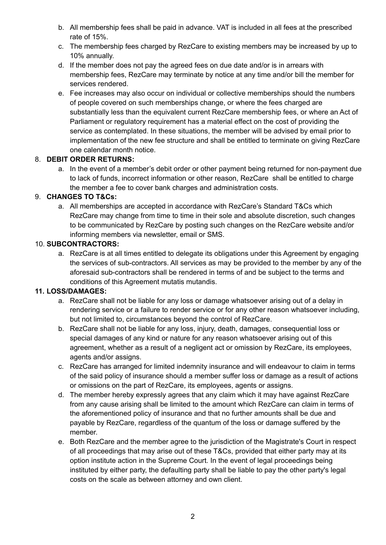- b. All membership fees shall be paid in advance. VAT is included in all fees at the prescribed rate of 15%.
- c. The membership fees charged by RezCare to existing members may be increased by up to 10% annually.
- d. If the member does not pay the agreed fees on due date and/or is in arrears with membership fees, RezCare may terminate by notice at any time and/or bill the member for services rendered.
- e. Fee increases may also occur on individual or collective memberships should the numbers of people covered on such memberships change, or where the fees charged are substantially less than the equivalent current RezCare membership fees, or where an Act of Parliament or regulatory requirement has a material effect on the cost of providing the service as contemplated. In these situations, the member will be advised by email prior to implementation of the new fee structure and shall be entitled to terminate on giving RezCare one calendar month notice.

# 8. **DEBIT ORDER RETURNS:**

a. In the event of a member's debit order or other payment being returned for non-payment due to lack of funds, incorrect information or other reason, RezCare shall be entitled to charge the member a fee to cover bank charges and administration costs.

# 9. **CHANGES TO T&Cs:**

a. All memberships are accepted in accordance with RezCare's Standard T&Cs which RezCare may change from time to time in their sole and absolute discretion, such changes to be communicated by RezCare by posting such changes on the RezCare website and/or informing members via newsletter, email or SMS.

### 10. **SUBCONTRACTORS:**

a. RezCare is at all times entitled to delegate its obligations under this Agreement by engaging the services of sub-contractors. All services as may be provided to the member by any of the aforesaid sub-contractors shall be rendered in terms of and be subject to the terms and conditions of this Agreement mutatis mutandis.

### **11. LOSS/DAMAGES:**

- a. RezCare shall not be liable for any loss or damage whatsoever arising out of a delay in rendering service or a failure to render service or for any other reason whatsoever including, but not limited to, circumstances beyond the control of RezCare.
- b. RezCare shall not be liable for any loss, injury, death, damages, consequential loss or special damages of any kind or nature for any reason whatsoever arising out of this agreement, whether as a result of a negligent act or omission by RezCare, its employees, agents and/or assigns.
- c. RezCare has arranged for limited indemnity insurance and will endeavour to claim in terms of the said policy of insurance should a member suffer loss or damage as a result of actions or omissions on the part of RezCare, its employees, agents or assigns.
- d. The member hereby expressly agrees that any claim which it may have against RezCare from any cause arising shall be limited to the amount which RezCare can claim in terms of the aforementioned policy of insurance and that no further amounts shall be due and payable by RezCare, regardless of the quantum of the loss or damage suffered by the member.
- e. Both RezCare and the member agree to the jurisdiction of the Magistrate's Court in respect of all proceedings that may arise out of these T&Cs, provided that either party may at its option institute action in the Supreme Court. In the event of legal proceedings being instituted by either party, the defaulting party shall be liable to pay the other party's legal costs on the scale as between attorney and own client.